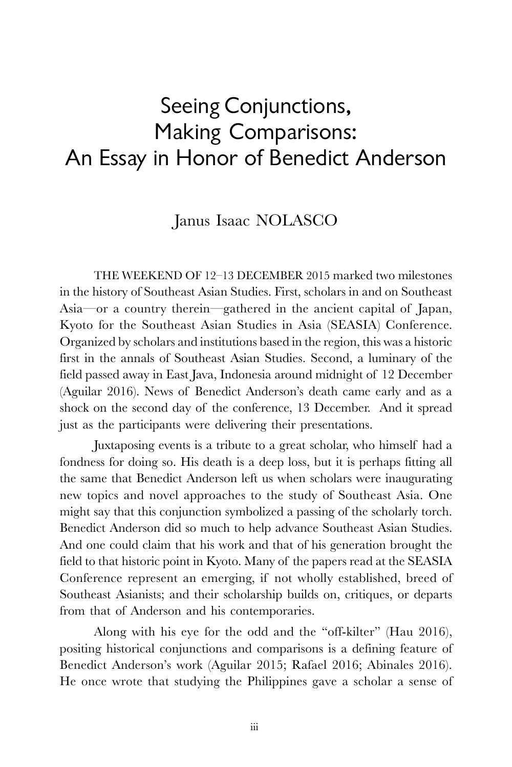## Seeing Conjunctions, Making Comparisons: An Essay in Honor of Benedict Anderson

## Janus Isaac NOLASCO

THE WEEKEND OF 12–13 DECEMBER 2015 marked two milestones in the history of Southeast Asian Studies. First, scholars in and on Southeast Asia—or a country therein—gathered in the ancient capital of Japan, Kyoto for the Southeast Asian Studies in Asia (SEASIA) Conference. Organized by scholars and institutions based in the region, this was a historic first in the annals of Southeast Asian Studies. Second, a luminary of the field passed away in East Java, Indonesia around midnight of 12 December (Aguilar 2016). News of Benedict Anderson's death came early and as a shock on the second day of the conference, 13 December. And it spread just as the participants were delivering their presentations.

Juxtaposing events is a tribute to a great scholar, who himself had a fondness for doing so. His death is a deep loss, but it is perhaps fitting all the same that Benedict Anderson left us when scholars were inaugurating new topics and novel approaches to the study of Southeast Asia. One might say that this conjunction symbolized a passing of the scholarly torch. Benedict Anderson did so much to help advance Southeast Asian Studies. And one could claim that his work and that of his generation brought the field to that historic point in Kyoto. Many of the papers read at the SEASIA Conference represent an emerging, if not wholly established, breed of Southeast Asianists; and their scholarship builds on, critiques, or departs from that of Anderson and his contemporaries.

Along with his eye for the odd and the "off-kilter" (Hau 2016), positing historical conjunctions and comparisons is a defining feature of Benedict Anderson's work (Aguilar 2015; Rafael 2016; Abinales 2016). He once wrote that studying the Philippines gave a scholar a sense of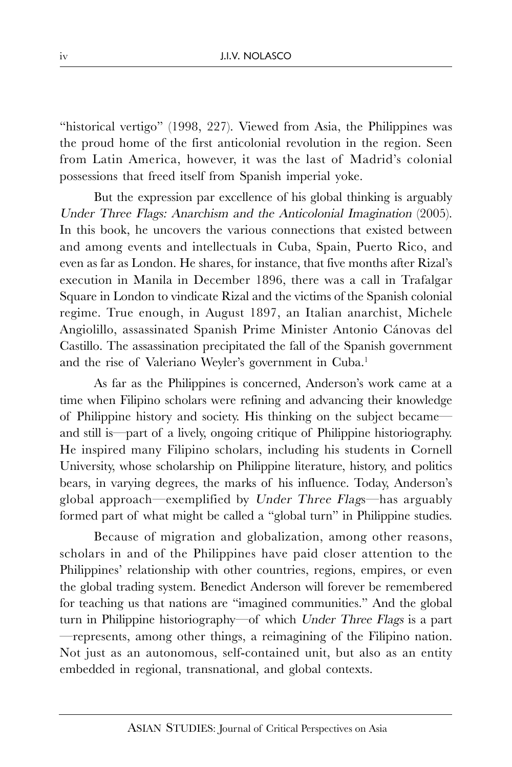"historical vertigo" (1998, 227). Viewed from Asia, the Philippines was the proud home of the first anticolonial revolution in the region. Seen from Latin America, however, it was the last of Madrid's colonial possessions that freed itself from Spanish imperial yoke.

But the expression par excellence of his global thinking is arguably Under Three Flags: Anarchism and the Anticolonial Imagination (2005). In this book, he uncovers the various connections that existed between and among events and intellectuals in Cuba, Spain, Puerto Rico, and even as far as London. He shares, for instance, that five months after Rizal's execution in Manila in December 1896, there was a call in Trafalgar Square in London to vindicate Rizal and the victims of the Spanish colonial regime. True enough, in August 1897, an Italian anarchist, Michele Angiolillo, assassinated Spanish Prime Minister Antonio Cánovas del Castillo. The assassination precipitated the fall of the Spanish government and the rise of Valeriano Weyler's government in Cuba.<sup>1</sup>

As far as the Philippines is concerned, Anderson's work came at a time when Filipino scholars were refining and advancing their knowledge of Philippine history and society. His thinking on the subject became and still is—part of a lively, ongoing critique of Philippine historiography. He inspired many Filipino scholars, including his students in Cornell University, whose scholarship on Philippine literature, history, and politics bears, in varying degrees, the marks of his influence. Today, Anderson's global approach—exemplified by Under Three Flags—has arguably formed part of what might be called a "global turn" in Philippine studies.

Because of migration and globalization, among other reasons, scholars in and of the Philippines have paid closer attention to the Philippines' relationship with other countries, regions, empires, or even the global trading system. Benedict Anderson will forever be remembered for teaching us that nations are "imagined communities." And the global turn in Philippine historiography—of which Under Three Flags is a part —represents, among other things, a reimagining of the Filipino nation. Not just as an autonomous, self-contained unit, but also as an entity embedded in regional, transnational, and global contexts.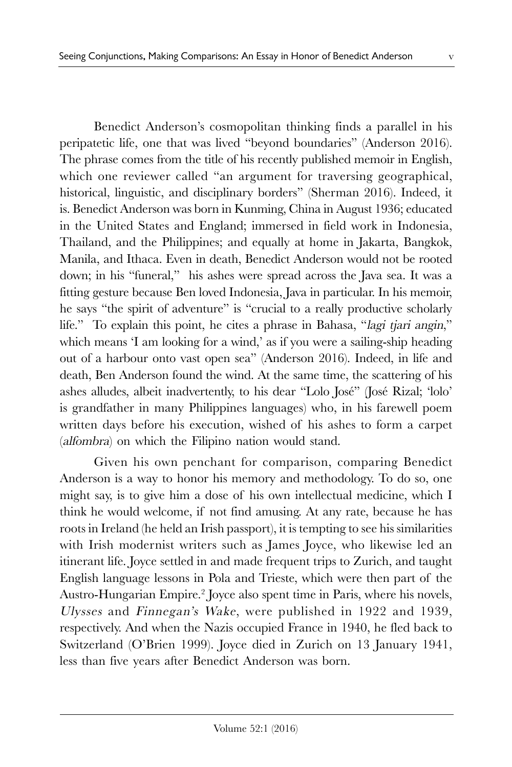Benedict Anderson's cosmopolitan thinking finds a parallel in his peripatetic life, one that was lived "beyond boundaries" (Anderson 2016). The phrase comes from the title of his recently published memoir in English, which one reviewer called "an argument for traversing geographical, historical, linguistic, and disciplinary borders" (Sherman 2016). Indeed, it is. Benedict Anderson was born in Kunming, China in August 1936; educated in the United States and England; immersed in field work in Indonesia, Thailand, and the Philippines; and equally at home in Jakarta, Bangkok, Manila, and Ithaca. Even in death, Benedict Anderson would not be rooted down; in his "funeral," his ashes were spread across the Java sea. It was a fitting gesture because Ben loved Indonesia, Java in particular. In his memoir, he says "the spirit of adventure" is "crucial to a really productive scholarly life." To explain this point, he cites a phrase in Bahasa, "lagi tjari angin," which means 'I am looking for a wind,' as if you were a sailing-ship heading out of a harbour onto vast open sea" (Anderson 2016). Indeed, in life and death, Ben Anderson found the wind. At the same time, the scattering of his ashes alludes, albeit inadvertently, to his dear "Lolo José" (José Rizal; 'lolo' is grandfather in many Philippines languages) who, in his farewell poem written days before his execution, wished of his ashes to form a carpet (alfombra) on which the Filipino nation would stand.

Given his own penchant for comparison, comparing Benedict Anderson is a way to honor his memory and methodology. To do so, one might say, is to give him a dose of his own intellectual medicine, which I think he would welcome, if not find amusing. At any rate, because he has roots in Ireland (he held an Irish passport), it is tempting to see his similarities with Irish modernist writers such as James Joyce, who likewise led an itinerant life. Joyce settled in and made frequent trips to Zurich, and taught English language lessons in Pola and Trieste, which were then part of the Austro-Hungarian Empire.<sup>2</sup> Joyce also spent time in Paris, where his novels, Ulysses and Finnegan's Wake, were published in 1922 and 1939, respectively. And when the Nazis occupied France in 1940, he fled back to Switzerland (O'Brien 1999). Joyce died in Zurich on 13 January 1941, less than five years after Benedict Anderson was born.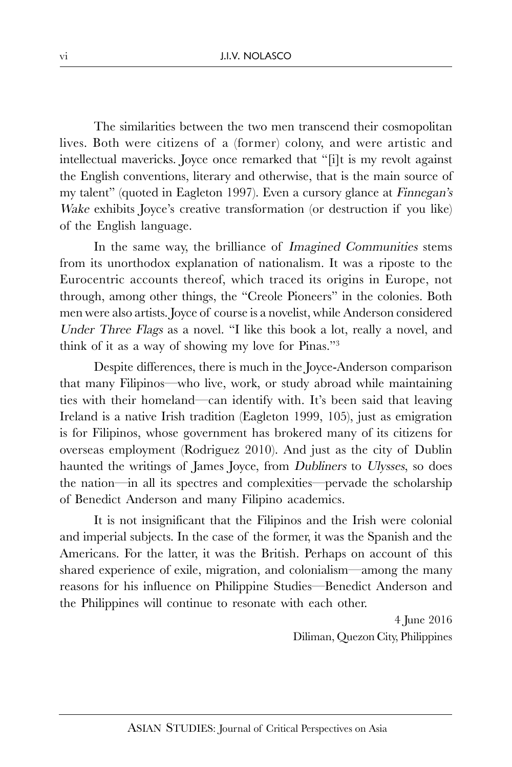The similarities between the two men transcend their cosmopolitan lives. Both were citizens of a (former) colony, and were artistic and intellectual mavericks. Joyce once remarked that "[i]t is my revolt against the English conventions, literary and otherwise, that is the main source of my talent" (quoted in Eagleton 1997). Even a cursory glance at Finnegan's Wake exhibits Joyce's creative transformation (or destruction if you like) of the English language.

In the same way, the brilliance of Imagined Communities stems from its unorthodox explanation of nationalism. It was a riposte to the Eurocentric accounts thereof, which traced its origins in Europe, not through, among other things, the "Creole Pioneers" in the colonies. Both men were also artists. Joyce of course is a novelist, while Anderson considered Under Three Flags as a novel. "I like this book a lot, really a novel, and think of it as a way of showing my love for Pinas."<sup>3</sup>

Despite differences, there is much in the Joyce-Anderson comparison that many Filipinos—who live, work, or study abroad while maintaining ties with their homeland—can identify with. It's been said that leaving Ireland is a native Irish tradition (Eagleton 1999, 105), just as emigration is for Filipinos, whose government has brokered many of its citizens for overseas employment (Rodriguez 2010). And just as the city of Dublin haunted the writings of James Joyce, from Dubliners to Ulysses, so does the nation—in all its spectres and complexities—pervade the scholarship of Benedict Anderson and many Filipino academics.

It is not insignificant that the Filipinos and the Irish were colonial and imperial subjects. In the case of the former, it was the Spanish and the Americans. For the latter, it was the British. Perhaps on account of this shared experience of exile, migration, and colonialism—among the many reasons for his influence on Philippine Studies—Benedict Anderson and the Philippines will continue to resonate with each other.

> 4 June 2016 Diliman, Quezon City, Philippines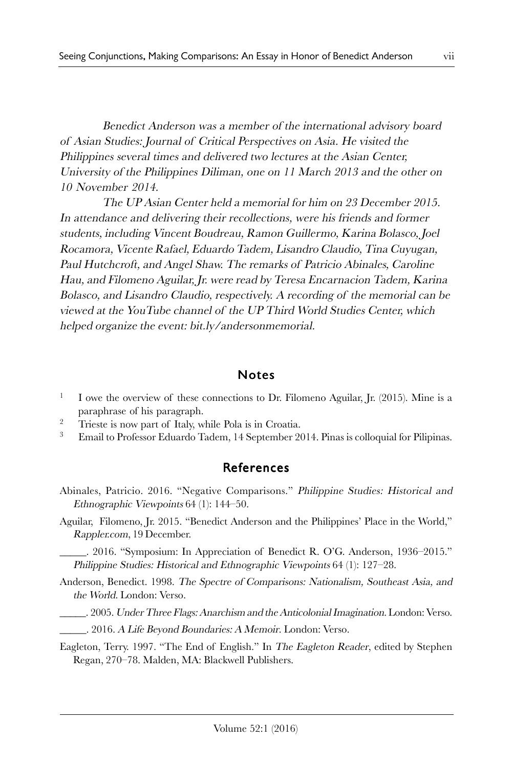Benedict Anderson was a member of the international advisory board of Asian Studies: Journal of Critical Perspectives on Asia. He visited the Philippines several times and delivered two lectures at the Asian Center, University of the Philippines Diliman, one on 11 March 2013 and the other on 10 November 2014.

The UP Asian Center held a memorial for him on 23 December 2015. In attendance and delivering their recollections, were his friends and former students, including Vincent Boudreau, Ramon Guillermo, Karina Bolasco, Joel Rocamora, Vicente Rafael, Eduardo Tadem, Lisandro Claudio, Tina Cuyugan, Paul Hutchcroft, and Angel Shaw. The remarks of Patricio Abinales, Caroline Hau, and Filomeno Aguilar, Jr. were read by Teresa Encarnacion Tadem, Karina Bolasco, and Lisandro Claudio, respectively. A recording of the memorial can be viewed at the YouTube channel of the UP Third World Studies Center, which helped organize the event: bit.ly/andersonmemorial.

## Notes

- 1 I owe the overview of these connections to Dr. Filomeno Aguilar, Jr. (2015). Mine is a paraphrase of his paragraph.
- <sup>2</sup> Trieste is now part of Italy, while Pola is in Croatia.
- <sup>3</sup> Email to Professor Eduardo Tadem, 14 September 2014. Pinas is colloquial for Pilipinas.

## References

- Abinales, Patricio. 2016. "Negative Comparisons." Philippine Studies: Historical and Ethnographic Viewpoints 64 (1): 144–50.
- Aguilar, Filomeno, Jr. 2015. "Benedict Anderson and the Philippines' Place in the World," Rappler.com, 19 December.

\_\_\_\_\_. 2016. "Symposium: In Appreciation of Benedict R. O'G. Anderson, 1936–2015." Philippine Studies: Historical and Ethnographic Viewpoints 64 (1): 127–28.

- Anderson, Benedict. 1998. The Spectre of Comparisons: Nationalism, Southeast Asia, and the World. London: Verso.
	- \_\_\_\_\_. 2005. Under Three Flags: Anarchism and the Anticolonial Imagination. London: Verso.
	- \_\_\_\_\_. 2016. A Life Beyond Boundaries: A Memoir. London: Verso.

Eagleton, Terry. 1997. "The End of English." In The Eagleton Reader, edited by Stephen Regan, 270–78. Malden, MA: Blackwell Publishers.